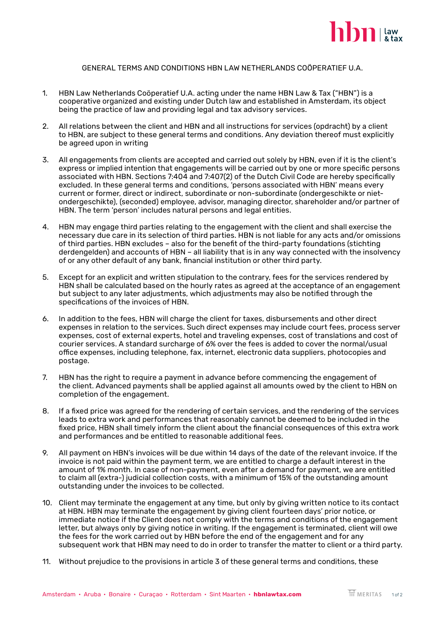

## GENERAL TERMS AND CONDITIONS HBN LAW NETHERLANDS COÖPERATIEF U.A.

- 1. HBN Law Netherlands Coöperatief U.A. acting under the name HBN Law & Tax ("HBN") is a cooperative organized and existing under Dutch law and established in Amsterdam, its object being the practice of law and providing legal and tax advisory services.
- 2. All relations between the client and HBN and all instructions for services (opdracht) by a client to HBN, are subject to these general terms and conditions. Any deviation thereof must explicitly be agreed upon in writing
- 3. All engagements from clients are accepted and carried out solely by HBN, even if it is the client's express or implied intention that engagements will be carried out by one or more specific persons associated with HBN. Sections 7:404 and 7:407(2) of the Dutch Civil Code are hereby specifically excluded. In these general terms and conditions, 'persons associated with HBN' means every current or former, direct or indirect, subordinate or non-subordinate (ondergeschikte or nietondergeschikte), (seconded) employee, advisor, managing director, shareholder and/or partner of HBN. The term 'person' includes natural persons and legal entities.
- 4. HBN may engage third parties relating to the engagement with the client and shall exercise the necessary due care in its selection of third parties. HBN is not liable for any acts and/or omissions of third parties. HBN excludes – also for the benefit of the third-party foundations (stichting derdengelden) and accounts of HBN – all liability that is in any way connected with the insolvency of or any other default of any bank, financial institution or other third party.
- 5. Except for an explicit and written stipulation to the contrary, fees for the services rendered by HBN shall be calculated based on the hourly rates as agreed at the acceptance of an engagement but subject to any later adjustments, which adjustments may also be notified through the specifications of the invoices of HBN.
- 6. In addition to the fees, HBN will charge the client for taxes, disbursements and other direct expenses in relation to the services. Such direct expenses may include court fees, process server expenses, cost of external experts, hotel and traveling expenses, cost of translations and cost of courier services. A standard surcharge of 6% over the fees is added to cover the normal/usual office expenses, including telephone, fax, internet, electronic data suppliers, photocopies and postage.
- 7. HBN has the right to require a payment in advance before commencing the engagement of the client. Advanced payments shall be applied against all amounts owed by the client to HBN on completion of the engagement.
- 8. If a fixed price was agreed for the rendering of certain services, and the rendering of the services leads to extra work and performances that reasonably cannot be deemed to be included in the fixed price, HBN shall timely inform the client about the financial consequences of this extra work and performances and be entitled to reasonable additional fees.
- 9. All payment on HBN's invoices will be due within 14 days of the date of the relevant invoice. If the invoice is not paid within the payment term, we are entitled to charge a default interest in the amount of 1% month. In case of non-payment, even after a demand for payment, we are entitled to claim all (extra-) judicial collection costs, with a minimum of 15% of the outstanding amount outstanding under the invoices to be collected.
- 10. Client may terminate the engagement at any time, but only by giving written notice to its contact at HBN. HBN may terminate the engagement by giving client fourteen days' prior notice, or immediate notice if the Client does not comply with the terms and conditions of the engagement letter, but always only by giving notice in writing. If the engagement is terminated, client will owe the fees for the work carried out by HBN before the end of the engagement and for any subsequent work that HBN may need to do in order to transfer the matter to client or a third party.
- 11. Without prejudice to the provisions in article 3 of these general terms and conditions, these